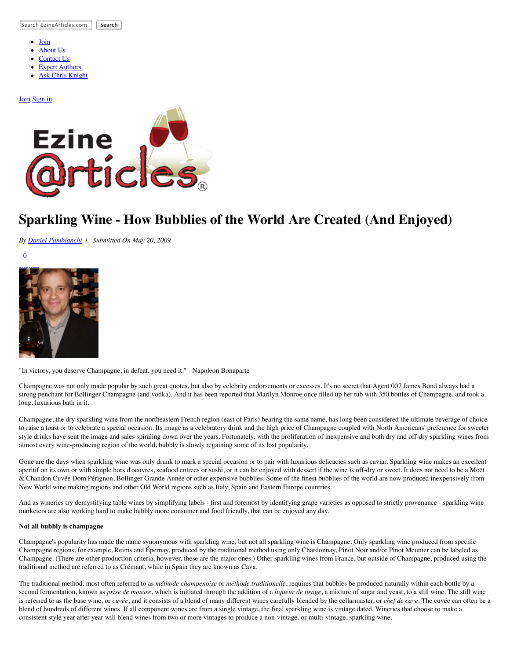Search EzineArticles.com Search

- $\bullet$ [Join](http://ezinearticles.com/submit/)
- [About Us](http://ezinearticles.com/about.html)
- [Contact Us](http://ezinearticles.com/contact.html)
- [Expert Authors](http://ezinearticles.com/?type=experts) [Ask Chris Knight](http://askchristopherknight.com/)
- 

#### [Join](http://ezinearticles.com/submit/) [Sign in](http://my.ezinearticles.com/)



# **Sparkling Wine - How Bubblies of the World Are Created (And Enjoyed)**

*By [Daniel Pambianchi](http://ezinearticles.com/?expert=Daniel_Pambianchi) | Submitted On May 20, 2009*

[0](http://ezinearticles.com/comment.php?Sparkling-Wine---How-Bubblies-of-the-World-Are-Created-(And-Enjoyed)&id=2371788) 



"In victory, you deserve Champagne, in defeat, you need it." - Napoleon Bonaparte

Champagne was not only made popular by such great quotes, but also by celebrity endorsements or excesses. It's no secret that Agent 007 James Bond always had a strong penchant for Bollinger Champagne (and vodka). And it has been reported that Marilyn Monroe once filled up her tub with 350 bottles of Champagne, and took a long, luxurious bath in it.

Champagne, the dry sparkling wine from the northeastern French region (east of Paris) bearing the same name, has long been considered the ultimate beverage of choice to raise a toast or to celebrate a special occasion. Its image as a celebratory drink and the high price of Champagne coupled with North Americans' preference for sweeter style drinks have sent the image and sales spiraling down over the years. Fortunately, with the proliferation of inexpensive and both dry and off-dry sparkling wines from almost every wine-producing region of the world, bubbly is slowly regaining some of its lost popularity.

Gone are the days when sparkling wine was only drunk to mark a special occasion or to pair with luxurious delicacies such as caviar. Sparkling wine makes an excellent aperitif on its own or with simple hors d'oeuvres, seafood entrees or sushi, or it can be enjoyed with dessert if the wine is off-dry or sweet. It does not need to be a Moët & Chandon Cuvée Dom Pérignon, Bollinger Grande Année or other expensive bubblies. Some of the finest bubblies of the world are now produced inexpensively from New World wine making regions and other Old World regions such as Italy, Spain and Eastern Europe countries.

And as wineries try demystifying table wines by simplifying labels - first and foremost by identifying grape varieties as opposed to strictly provenance - sparkling wine marketers are also working hard to make bubbly more consumer and food friendly, that can be enjoyed any day.

## **Not all bubbly is champagne**

Champagne's popularity has made the name synonymous with sparkling wine, but not all sparkling wine is Champagne. Only sparkling wine produced from specific Champagne regions, for example, Reims and Épernay, produced by the traditional method using only Chardonnay, Pinot Noir and/or Pinot Meunier can be labeled as Champagne. (There are other production criteria, however, these are the major ones.) Other sparkling wines from France, but outside of Champagne, produced using the traditional method are referred to as Crémant, while in Spain they are known as Cava.

The traditional method, most often referred to as *méthode champenoise* or *méthode traditionelle*, requires that bubbles be produced naturally within each bottle by a second fermentation, known as *prise de mousse*, which is initiated through the addition of a *liqueur de tirage*, a mixture of sugar and yeast, to a still wine. The still wine is referred to as the base wine, or *cuvée*, and it consists of a blend of many different wines carefully blended by the cellarmaster, or *chef de cave*. The cuvée can often be a blend of hundreds of different wines. If all component wines are from a single vintage, the final sparkling wine is vintage dated. Wineries that choose to make a consistent style year after year will blend wines from two or more vintages to produce a non-vintage, or multi-vintage, sparkling wine.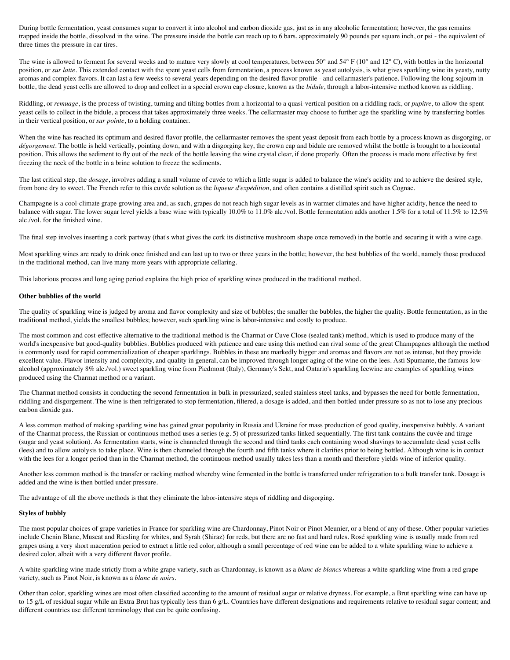During bottle fermentation, yeast consumes sugar to convert it into alcohol and carbon dioxide gas, just as in any alcoholic fermentation; however, the gas remains trapped inside the bottle, dissolved in the wine. The pressure inside the bottle can reach up to 6 bars, approximately 90 pounds per square inch, or psi - the equivalent of three times the pressure in car tires.

The wine is allowed to ferment for several weeks and to mature very slowly at cool temperatures, between 50 $^{\circ}$  and 54 $^{\circ}$  F (10 $^{\circ}$  and 12 $^{\circ}$  C), with bottles in the horizontal position, or *sur latte*. This extended contact with the spent yeast cells from fermentation, a process known as yeast autolysis, is what gives sparkling wine its yeasty, nutty aromas and complex flavors. It can last a few weeks to several years depending on the desired flavor profile - and cellarmaster's patience. Following the long sojourn in bottle, the dead yeast cells are allowed to drop and collect in a special crown cap closure, known as the *bidule*, through a labor-intensive method known as riddling.

Riddling, or *remuage*, is the process of twisting, turning and tilting bottles from a horizontal to a quasi-vertical position on a riddling rack, or *pupitre*, to allow the spent yeast cells to collect in the bidule, a process that takes approximately three weeks. The cellarmaster may choose to further age the sparkling wine by transferring bottles in their vertical position, or *sur pointe*, to a holding container.

When the wine has reached its optimum and desired flavor profile, the cellarmaster removes the spent yeast deposit from each bottle by a process known as disgorging, or *dégorgement*. The bottle is held vertically, pointing down, and with a disgorging key, the crown cap and bidule are removed whilst the bottle is brought to a horizontal position. This allows the sediment to fly out of the neck of the bottle leaving the wine crystal clear, if done properly. Often the process is made more effective by first freezing the neck of the bottle in a brine solution to freeze the sediments.

The last critical step, the *dosage*, involves adding a small volume of cuvée to which a little sugar is added to balance the wine's acidity and to achieve the desired style, from bone dry to sweet. The French refer to this cuvée solution as the *liqueur d'expédition*, and often contains a distilled spirit such as Cognac.

Champagne is a cool-climate grape growing area and, as such, grapes do not reach high sugar levels as in warmer climates and have higher acidity, hence the need to balance with sugar. The lower sugar level yields a base wine with typically 10.0% to 11.0% alc./vol. Bottle fermentation adds another 1.5% for a total of 11.5% to 12.5% alc./vol. for the finished wine.

The final step involves inserting a cork partway (that's what gives the cork its distinctive mushroom shape once removed) in the bottle and securing it with a wire cage.

Most sparkling wines are ready to drink once finished and can last up to two or three years in the bottle; however, the best bubblies of the world, namely those produced in the traditional method, can live many more years with appropriate cellaring.

This laborious process and long aging period explains the high price of sparkling wines produced in the traditional method.

#### **Other bubblies of the world**

The quality of sparkling wine is judged by aroma and flavor complexity and size of bubbles; the smaller the bubbles, the higher the quality. Bottle fermentation, as in the traditional method, yields the smallest bubbles; however, such sparkling wine is labor-intensive and costly to produce.

The most common and cost-effective alternative to the traditional method is the Charmat or Cuve Close (sealed tank) method, which is used to produce many of the world's inexpensive but good-quality bubblies. Bubblies produced with patience and care using this method can rival some of the great Champagnes although the method is commonly used for rapid commercialization of cheaper sparklings. Bubbles in these are markedly bigger and aromas and flavors are not as intense, but they provide excellent value. Flavor intensity and complexity, and quality in general, can be improved through longer aging of the wine on the lees. Asti Spumante, the famous lowalcohol (approximately 8% alc./vol.) sweet sparkling wine from Piedmont (Italy), Germany's Sekt, and Ontario's sparkling Icewine are examples of sparkling wines produced using the Charmat method or a variant.

The Charmat method consists in conducting the second fermentation in bulk in pressurized, sealed stainless steel tanks, and bypasses the need for bottle fermentation, riddling and disgorgement. The wine is then refrigerated to stop fermentation, filtered, a dosage is added, and then bottled under pressure so as not to lose any precious carbon dioxide gas.

A less common method of making sparkling wine has gained great popularity in Russia and Ukraine for mass production of good quality, inexpensive bubbly. A variant of the Charmat process, the Russian or continuous method uses a series (e.g. 5) of pressurized tanks linked sequentially. The first tank contains the cuvée and tirage (sugar and yeast solution). As fermentation starts, wine is channeled through the second and third tanks each containing wood shavings to accumulate dead yeast cells (lees) and to allow autolysis to take place. Wine is then channeled through the fourth and fifth tanks where it clarifies prior to being bottled. Although wine is in contact with the lees for a longer period than in the Charmat method, the continuous method usually takes less than a month and therefore yields wine of inferior quality.

Another less common method is the transfer or racking method whereby wine fermented in the bottle is transferred under refrigeration to a bulk transfer tank. Dosage is added and the wine is then bottled under pressure.

The advantage of all the above methods is that they eliminate the labor-intensive steps of riddling and disgorging.

#### **Styles of bubbly**

The most popular choices of grape varieties in France for sparkling wine are Chardonnay, Pinot Noir or Pinot Meunier, or a blend of any of these. Other popular varieties include Chenin Blanc, Muscat and Riesling for whites, and Syrah (Shiraz) for reds, but there are no fast and hard rules. Rosé sparkling wine is usually made from red grapes using a very short maceration period to extract a little red color, although a small percentage of red wine can be added to a white sparkling wine to achieve a desired color, albeit with a very different flavor profile.

A white sparkling wine made strictly from a white grape variety, such as Chardonnay, is known as a *blanc de blancs* whereas a white sparkling wine from a red grape variety, such as Pinot Noir, is known as a *blanc de noirs*.

Other than color, sparkling wines are most often classified according to the amount of residual sugar or relative dryness. For example, a Brut sparkling wine can have up to 15 g/L of residual sugar while an Extra Brut has typically less than 6 g/L. Countries have different designations and requirements relative to residual sugar content; and different countries use different terminology that can be quite confusing.